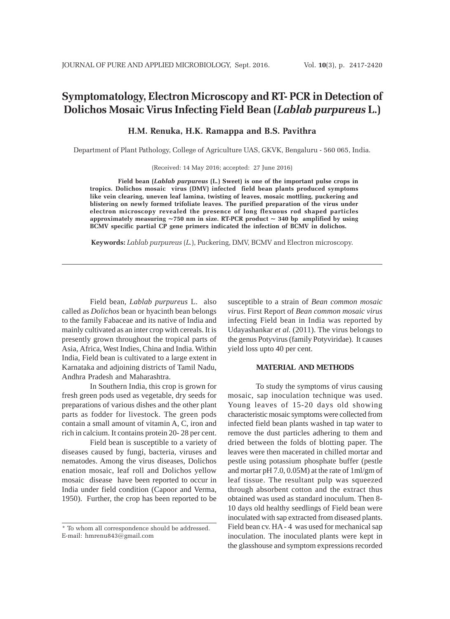# **Symptomatology, Electron Microscopy and RT- PCR in Detection of Dolichos Mosaic Virus Infecting Field Bean (***Lablab purpureus* **L.)**

## **H.M. Renuka, H.K. Ramappa and B.S. Pavithra**

Department of Plant Pathology, College of Agriculture UAS, GKVK, Bengaluru - 560 065, India.

(Received: 14 May 2016; accepted: 27 June 2016)

**Field bean (***Lablab purpureus* **(L***.***) Sweet) is one of the important pulse crops in tropics. Dolichos mosaic virus (DMV) infected field bean plants produced symptoms like vein clearing, uneven leaf lamina, twisting of leaves, mosaic mottling, puckering and blistering on newly formed trifoliate leaves. The purified preparation of the virus under electron microscopy revealed the presence of long flexuous rod shaped particles approximately measuring ~750 nm in size. RT-PCR product ~ 340 bp amplified by using BCMV specific partial CP gene primers indicated the infection of BCMV in dolichos.**

**Keywords:** *Lablab purpureus* (*L.*), Puckering, DMV, BCMV and Electron microscopy.

Field bean, *Lablab purpureus* L. also called as *Dolichos* bean or hyacinth bean belongs to the family Fabaceae and its native of India and mainly cultivated as an inter crop with cereals. It is presently grown throughout the tropical parts of Asia, Africa, West Indies, China and India. Within India, Field bean is cultivated to a large extent in Karnataka and adjoining districts of Tamil Nadu, Andhra Pradesh and Maharashtra.

In Southern India, this crop is grown for fresh green pods used as vegetable, dry seeds for preparations of various dishes and the other plant parts as fodder for livestock. The green pods contain a small amount of vitamin A, C, iron and rich in calcium. It contains protein 20- 28 per cent.

Field bean is susceptible to a variety of diseases caused by fungi, bacteria, viruses and nematodes. Among the virus diseases, Dolichos enation mosaic, leaf roll and Dolichos yellow mosaic disease have been reported to occur in India under field condition (Capoor and Verma, 1950). Further, the crop has been reported to be susceptible to a strain of *Bean common mosaic virus*. First Report of *Bean common mosaic virus* infecting Field bean in India was reported by Udayashankar *et al.* (2011). The virus belongs to the genus Potyvirus (family Potyviridae). It causes yield loss upto 40 per cent.

#### **MATERIAL AND METHODS**

To study the symptoms of virus causing mosaic, sap inoculation technique was used. Young leaves of 15-20 days old showing characteristic mosaic symptoms were collected from infected field bean plants washed in tap water to remove the dust particles adhering to them and dried between the folds of blotting paper. The leaves were then macerated in chilled mortar and pestle using potassium phosphate buffer (pestle and mortar pH 7.0, 0.05M) at the rate of 1ml/gm of leaf tissue. The resultant pulp was squeezed through absorbent cotton and the extract thus obtained was used as standard inoculum. Then 8- 10 days old healthy seedlings of Field bean were inoculated with sap extracted from diseased plants. Field bean cv. HA - 4 was used for mechanical sap inoculation. The inoculated plants were kept in the glasshouse and symptom expressions recorded

<sup>\*</sup> To whom all correspondence should be addressed. E-mail: hmrenu843@gmail.com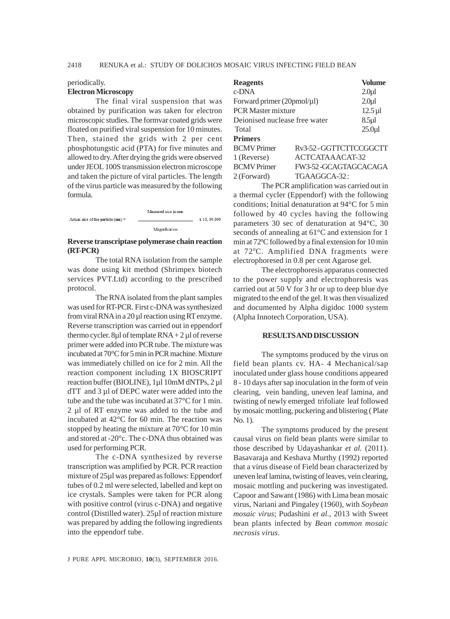### periodically. **Electron Microscopy**

The final viral suspension that was obtained by purification was taken for electron microscopic studies. The formvar coated grids were floated on purified viral suspension for 10 minutes. Then, stained the grids with 2 per cent phosphotungstic acid (PTA) for five minutes and allowed to dry. After drying the grids were observed under JEOL 100S transmission electron microscope and taken the picture of viral particles. The length of the virus particle was measured by the following formula.

|                                      | Measured size in mm |              |
|--------------------------------------|---------------------|--------------|
| Actual size of the particle $(nm)$ = |                     | x 10, 00,000 |
|                                      | Magnification       |              |

### **Reverse transcriptase polymerase chain reaction (RT-PCR)**

The total RNA isolation from the sample was done using kit method (Shrimpex biotech services PVT.Ltd) according to the prescribed protocol.

The RNA isolated from the plant samples was used for RT-PCR. First c-DNA was synthesized from viral RNA in a 20 µl reaction using RT enzyme. Reverse transcription was carried out in eppendorf thermo cycler. 8 $\mu$ l of template RNA + 2 $\mu$ l of reverse primer were added into PCR tube. The mixture was incubated at 70°C for 5 min in PCR machine. Mixture was immediately chilled on ice for 2 min. All the reaction component including 1X BIOSCRIPT reaction buffer (BIOLINE), 1µl 10mM dNTPs, 2 µl dTT and 3 µl of DEPC water were added into the tube and the tube was incubated at 37°C for 1 min. 2 µl of RT enzyme was added to the tube and incubated at 42°C for 60 min. The reaction was stopped by heating the mixture at 70°C for 10 min and stored at -20°c. The c-DNA thus obtained was used for performing PCR.

The c-DNA synthesized by reverse transcription was amplified by PCR. PCR reaction mixture of 25µl was prepared as follows: Eppendorf tubes of 0.2 ml were selected, labelled and kept on ice crystals. Samples were taken for PCR along with positive control (virus c-DNA) and negative control (Distilled water). 25µl of reaction mixture was prepared by adding the following ingredients into the eppendorf tube.

| <b>Reagents</b>               |                         | Volume                |
|-------------------------------|-------------------------|-----------------------|
| $c$ -DNA                      |                         | $2.0\mu1$             |
| Forward primer $(20pmol/µl)$  |                         | $2.0\mu1$             |
| <b>PCR Master mixture</b>     |                         | $12.5 \,\mathrm{\mu}$ |
| Dejonised nuclease free water |                         | 8.5µl                 |
| Total                         |                         | 25.0 <sub>u</sub>     |
| <b>Primers</b>                |                         |                       |
| <b>BCMV</b> Primer            | Rv3-52 - GGTTCTTCCGGCTT |                       |
| 1 (Reverse)                   | ACTCATAAACAT-32         |                       |
| <b>BCMV</b> Primer            | FW3-52-GCAGTAGCACAGA    |                       |
| 2 (Forward)                   | TGAAGGCA-32:            |                       |

The PCR amplification was carried out in a thermal cycler (Eppendorf) with the following conditions; Initial denaturation at 94°C for 5 min followed by 40 cycles having the following parameters 30 sec of denaturation at 94°C, 30 seconds of annealing at 61°C and extension for 1 min at 72<sup>°</sup>C followed by a final extension for 10 min at 720 C. Amplified DNA fragments were electrophoresed in 0.8 per cent Agarose gel.

The electrophoresis apparatus connected to the power supply and electrophoresis was carried out at 50 V for 3 hr or up to deep blue dye migrated to the end of the gel. It was then visualized and documented by Alpha digidoc 1000 system (Alpha Innotech Corporation, USA).

#### **RESULTS AND DISCUSSION**

The symptoms produced by the virus on field bean plants cv. HA- 4 Mechanical/sap inoculated under glass house conditions appeared 8 - 10 days after sap inoculation in the form of vein clearing, vein banding, uneven leaf lamina, and twisting of newly emerged trifoliate leaf followed by mosaic mottling, puckering and blistering ( Plate No. 1).

The symptoms produced by the present causal virus on field bean plants were similar to those described by Udayashankar *et al.* (2011). Basavaraja and Keshava Murthy (1992) reported that a virus disease of Field bean characterized by uneven leaf lamina, twisting of leaves, vein clearing, mosaic mottling and puckering was investigated. Capoor and Sawant (1986) with Lima bean mosaic virus, Nariani and Pingaley (1960), with *Soybean mosaic virus*; Pudashini *et al.,* 2013 with Sweet bean plants infected by *Bean common mosaic necrosis virus*.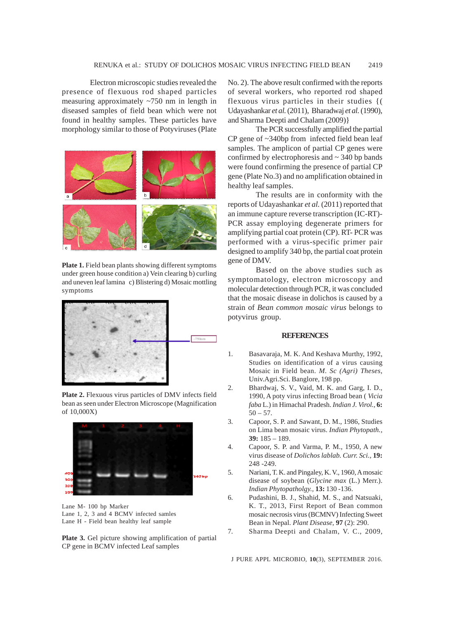Electron microscopic studies revealed the presence of flexuous rod shaped particles measuring approximately ~750 nm in length in diseased samples of field bean which were not found in healthy samples. These particles have morphology similar to those of Potyviruses (Plate



Plate 1. Field bean plants showing different symptoms under green house condition a) Vein clearing b) curling and uneven leaf lamina c) Blistering d) Mosaic mottling symptoms



**Plate 2.** Flexuous virus particles of DMV infects field bean as seen under Electron Microscope (Magnification of 10,000X)



Lane M- 100 bp Marker Lane 1, 2, 3 and 4 BCMV infected samles Lane H - Field bean healthy leaf sample

**Plate 3.** Gel picture showing amplification of partial CP gene in BCMV infected Leaf samples

No. 2). The above result confirmed with the reports of several workers, who reported rod shaped flexuous virus particles in their studies {( Udayashankar *et al.* (2011), Bharadwaj *et al.* (1990), and Sharma Deepti and Chalam (2009)}

The PCR successfully amplified the partial CP gene of ~340bp from infected field bean leaf samples. The amplicon of partial CP genes were confirmed by electrophoresis and  $\sim$  340 bp bands were found confirming the presence of partial CP gene (Plate No.3) and no amplification obtained in healthy leaf samples.

The results are in conformity with the reports of Udayashankar *et al.* (2011) reported that an immune capture reverse transcription (IC-RT)- PCR assay employing degenerate primers for amplifying partial coat protein (CP). RT- PCR was performed with a virus-specific primer pair designed to amplify 340 bp, the partial coat protein gene of DMV.

Based on the above studies such as symptomatology, electron microscopy and molecular detection through PCR, it was concluded that the mosaic disease in dolichos is caused by a strain of *Bean common mosaic virus* belongs to potyvirus group.

### **REFERENCES**

- 1. Basavaraja, M. K. And Keshava Murthy, 1992, Studies on identification of a virus causing Mosaic in Field bean. *M. Sc (Agri) Theses*, Univ.Agri.Sci. Banglore, 198 pp.
- 2. Bhardwaj, S. V., Vaid, M. K. and Garg, I. D., 1990, A poty virus infecting Broad bean ( *Vicia faba* L.) in Himachal Pradesh. *Indian J. Virol.,* **6:**  $50 - 57.$
- 3. Capoor, S. P. and Sawant, D. M., 1986, Studies on Lima bean mosaic virus. *Indian Phytopath.,* **39:** 185 – 189.
- 4. Capoor, S. P. and Varma, P. M., 1950, A new virus disease of *Dolichos lablab. Curr. Sci.,* **19:** 248 -249.
- 5. Nariani, T. K. and Pingaley, K. V., 1960, A mosaic disease of soybean (*Glycine max* (L.) Merr.). *Indian Phytopatholgy.,* **13:** 130 -136.
- 6. Pudashini, B. J., Shahid, M. S., and Natsuaki, K. T., 2013, First Report of Bean common mosaic necrosis virus (BCMNV) Infecting Sweet Bean in Nepal. *Plant Disease,* **97** (2): 290.
- 7. Sharma Deepti and Chalam, V. C., 2009,